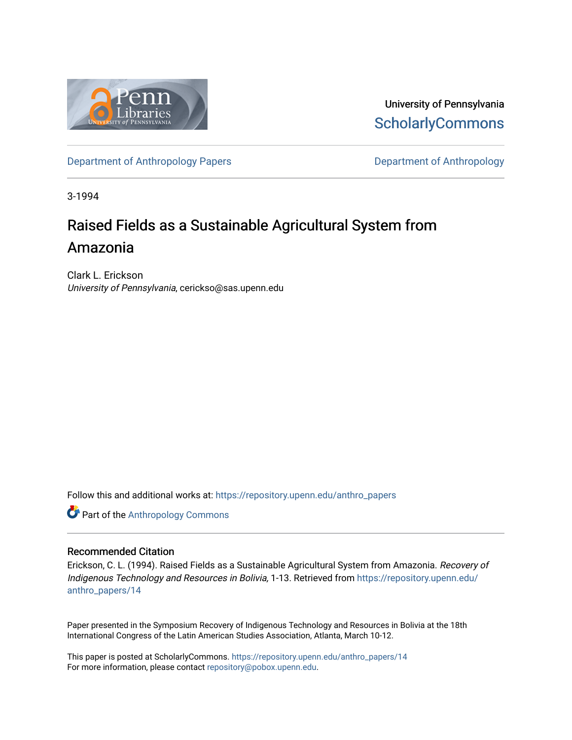

University of Pennsylvania **ScholarlyCommons** 

[Department of Anthropology Papers](https://repository.upenn.edu/anthro_papers) **Department of Anthropology** 

3-1994

# Raised Fields as a Sustainable Agricultural System from Amazonia

Clark L. Erickson University of Pennsylvania, cerickso@sas.upenn.edu

Follow this and additional works at: [https://repository.upenn.edu/anthro\\_papers](https://repository.upenn.edu/anthro_papers?utm_source=repository.upenn.edu%2Fanthro_papers%2F14&utm_medium=PDF&utm_campaign=PDFCoverPages)



#### Recommended Citation

Erickson, C. L. (1994). Raised Fields as a Sustainable Agricultural System from Amazonia. Recovery of Indigenous Technology and Resources in Bolivia, 1-13. Retrieved from [https://repository.upenn.edu/](https://repository.upenn.edu/anthro_papers/14?utm_source=repository.upenn.edu%2Fanthro_papers%2F14&utm_medium=PDF&utm_campaign=PDFCoverPages) [anthro\\_papers/14](https://repository.upenn.edu/anthro_papers/14?utm_source=repository.upenn.edu%2Fanthro_papers%2F14&utm_medium=PDF&utm_campaign=PDFCoverPages)

Paper presented in the Symposium Recovery of Indigenous Technology and Resources in Bolivia at the 18th International Congress of the Latin American Studies Association, Atlanta, March 10-12.

This paper is posted at ScholarlyCommons. [https://repository.upenn.edu/anthro\\_papers/14](https://repository.upenn.edu/anthro_papers/14) For more information, please contact [repository@pobox.upenn.edu.](mailto:repository@pobox.upenn.edu)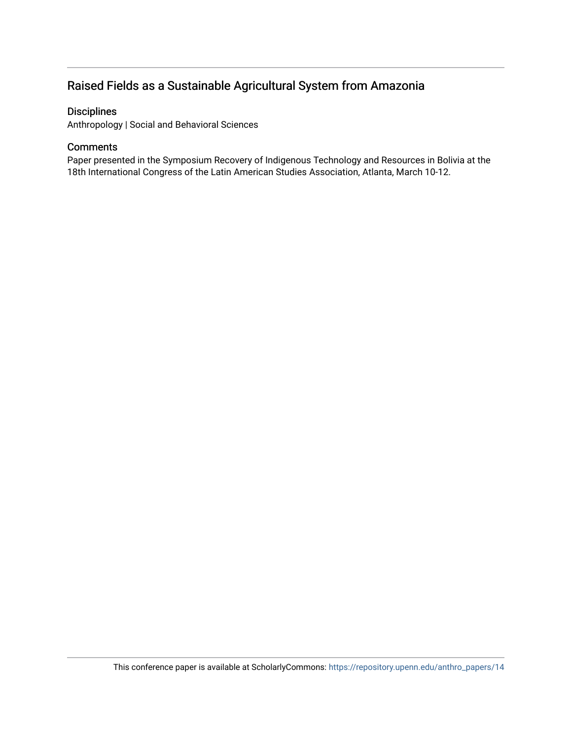# Raised Fields as a Sustainable Agricultural System from Amazonia

# **Disciplines**

Anthropology | Social and Behavioral Sciences

# **Comments**

Paper presented in the Symposium Recovery of Indigenous Technology and Resources in Bolivia at the 18th International Congress of the Latin American Studies Association, Atlanta, March 10-12.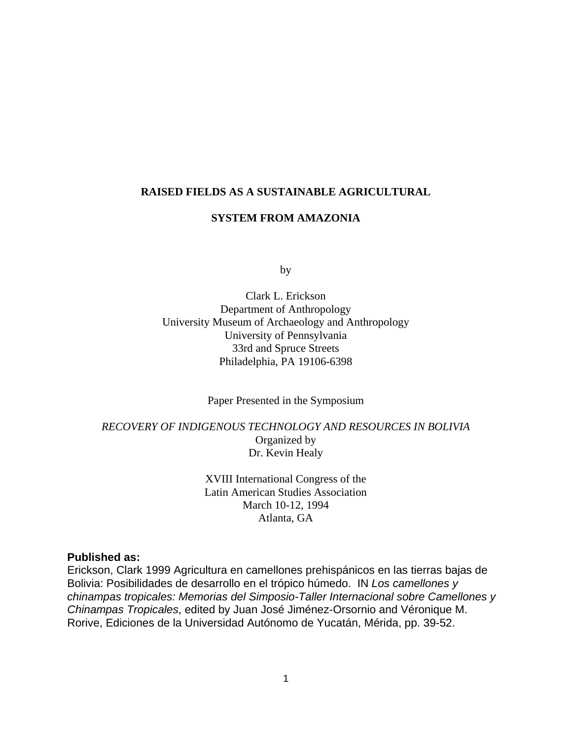#### **RAISED FIELDS AS A SUSTAINABLE AGRICULTURAL**

# **SYSTEM FROM AMAZONIA**

by

Clark L. Erickson Department of Anthropology University Museum of Archaeology and Anthropology University of Pennsylvania 33rd and Spruce Streets Philadelphia, PA 19106-6398

Paper Presented in the Symposium

*RECOVERY OF INDIGENOUS TECHNOLOGY AND RESOURCES IN BOLIVIA* Organized by Dr. Kevin Healy

> XVIII International Congress of the Latin American Studies Association March 10-12, 1994 Atlanta, GA

### **Published as:**

Erickson, Clark 1999 Agricultura en camellones prehispánicos en las tierras bajas de Bolivia: Posibilidades de desarrollo en el trópico húmedo. IN *Los camellones y chinampas tropicales: Memorias del Simposio-Taller Internacional sobre Camellones y Chinampas Tropicales*, edited by Juan José Jiménez-Orsornio and Véronique M. Rorive, Ediciones de la Universidad Autónomo de Yucatán, Mérida, pp. 39-52.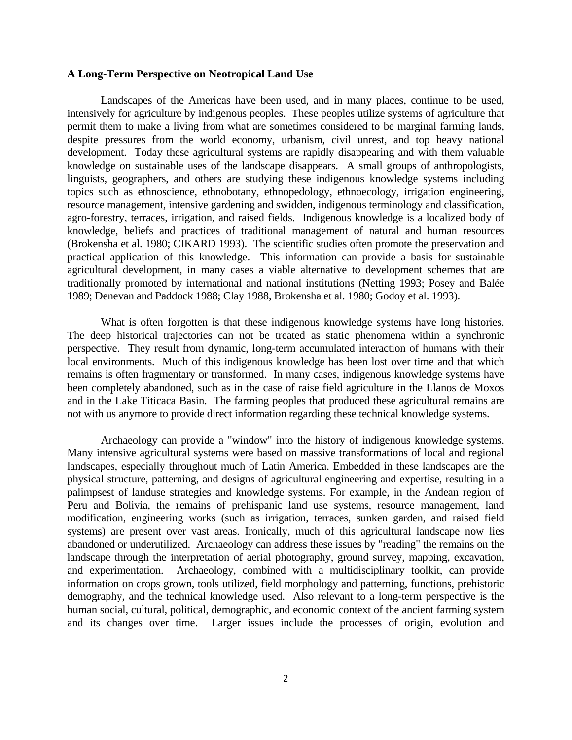#### **A Long-Term Perspective on Neotropical Land Use**

 Landscapes of the Americas have been used, and in many places, continue to be used, intensively for agriculture by indigenous peoples. These peoples utilize systems of agriculture that permit them to make a living from what are sometimes considered to be marginal farming lands, despite pressures from the world economy, urbanism, civil unrest, and top heavy national development. Today these agricultural systems are rapidly disappearing and with them valuable knowledge on sustainable uses of the landscape disappears. A small groups of anthropologists, linguists, geographers, and others are studying these indigenous knowledge systems including topics such as ethnoscience, ethnobotany, ethnopedology, ethnoecology, irrigation engineering, resource management, intensive gardening and swidden, indigenous terminology and classification, agro-forestry, terraces, irrigation, and raised fields. Indigenous knowledge is a localized body of knowledge, beliefs and practices of traditional management of natural and human resources (Brokensha et al. 1980; CIKARD 1993). The scientific studies often promote the preservation and practical application of this knowledge. This information can provide a basis for sustainable agricultural development, in many cases a viable alternative to development schemes that are traditionally promoted by international and national institutions (Netting 1993; Posey and Balée 1989; Denevan and Paddock 1988; Clay 1988, Brokensha et al. 1980; Godoy et al. 1993).

 What is often forgotten is that these indigenous knowledge systems have long histories. The deep historical trajectories can not be treated as static phenomena within a synchronic perspective. They result from dynamic, long-term accumulated interaction of humans with their local environments. Much of this indigenous knowledge has been lost over time and that which remains is often fragmentary or transformed. In many cases, indigenous knowledge systems have been completely abandoned, such as in the case of raise field agriculture in the Llanos de Moxos and in the Lake Titicaca Basin. The farming peoples that produced these agricultural remains are not with us anymore to provide direct information regarding these technical knowledge systems.

 Archaeology can provide a "window" into the history of indigenous knowledge systems. Many intensive agricultural systems were based on massive transformations of local and regional landscapes, especially throughout much of Latin America. Embedded in these landscapes are the physical structure, patterning, and designs of agricultural engineering and expertise, resulting in a palimpsest of landuse strategies and knowledge systems. For example, in the Andean region of Peru and Bolivia, the remains of prehispanic land use systems, resource management, land modification, engineering works (such as irrigation, terraces, sunken garden, and raised field systems) are present over vast areas. Ironically, much of this agricultural landscape now lies abandoned or underutilized. Archaeology can address these issues by "reading" the remains on the landscape through the interpretation of aerial photography, ground survey, mapping, excavation, and experimentation. Archaeology, combined with a multidisciplinary toolkit, can provide information on crops grown, tools utilized, field morphology and patterning, functions, prehistoric demography, and the technical knowledge used. Also relevant to a long-term perspective is the human social, cultural, political, demographic, and economic context of the ancient farming system and its changes over time. Larger issues include the processes of origin, evolution and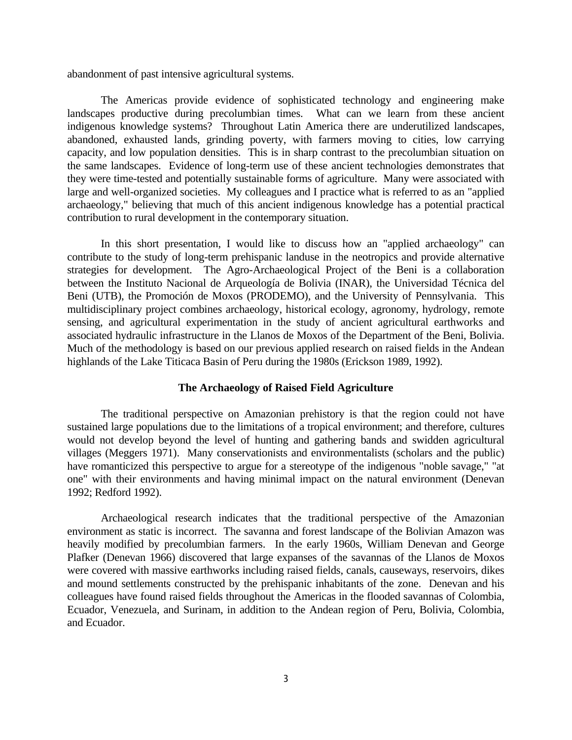abandonment of past intensive agricultural systems.

 The Americas provide evidence of sophisticated technology and engineering make landscapes productive during precolumbian times. What can we learn from these ancient indigenous knowledge systems? Throughout Latin America there are underutilized landscapes, abandoned, exhausted lands, grinding poverty, with farmers moving to cities, low carrying capacity, and low population densities. This is in sharp contrast to the precolumbian situation on the same landscapes. Evidence of long-term use of these ancient technologies demonstrates that they were time-tested and potentially sustainable forms of agriculture. Many were associated with large and well-organized societies. My colleagues and I practice what is referred to as an "applied archaeology," believing that much of this ancient indigenous knowledge has a potential practical contribution to rural development in the contemporary situation.

 In this short presentation, I would like to discuss how an "applied archaeology" can contribute to the study of long-term prehispanic landuse in the neotropics and provide alternative strategies for development. The Agro-Archaeological Project of the Beni is a collaboration between the Instituto Nacional de Arqueología de Bolivia (INAR), the Universidad Técnica del Beni (UTB), the Promoción de Moxos (PRODEMO), and the University of Pennsylvania. This multidisciplinary project combines archaeology, historical ecology, agronomy, hydrology, remote sensing, and agricultural experimentation in the study of ancient agricultural earthworks and associated hydraulic infrastructure in the Llanos de Moxos of the Department of the Beni, Bolivia. Much of the methodology is based on our previous applied research on raised fields in the Andean highlands of the Lake Titicaca Basin of Peru during the 1980s (Erickson 1989, 1992).

#### **The Archaeology of Raised Field Agriculture**

 The traditional perspective on Amazonian prehistory is that the region could not have sustained large populations due to the limitations of a tropical environment; and therefore, cultures would not develop beyond the level of hunting and gathering bands and swidden agricultural villages (Meggers 1971). Many conservationists and environmentalists (scholars and the public) have romanticized this perspective to argue for a stereotype of the indigenous "noble savage," "at one" with their environments and having minimal impact on the natural environment (Denevan 1992; Redford 1992).

 Archaeological research indicates that the traditional perspective of the Amazonian environment as static is incorrect. The savanna and forest landscape of the Bolivian Amazon was heavily modified by precolumbian farmers. In the early 1960s, William Denevan and George Plafker (Denevan 1966) discovered that large expanses of the savannas of the Llanos de Moxos were covered with massive earthworks including raised fields, canals, causeways, reservoirs, dikes and mound settlements constructed by the prehispanic inhabitants of the zone. Denevan and his colleagues have found raised fields throughout the Americas in the flooded savannas of Colombia, Ecuador, Venezuela, and Surinam, in addition to the Andean region of Peru, Bolivia, Colombia, and Ecuador.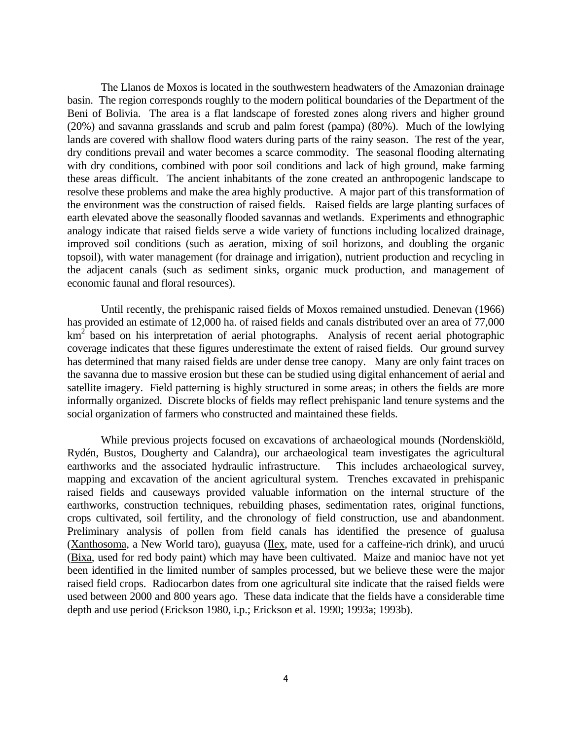The Llanos de Moxos is located in the southwestern headwaters of the Amazonian drainage basin. The region corresponds roughly to the modern political boundaries of the Department of the Beni of Bolivia. The area is a flat landscape of forested zones along rivers and higher ground (20%) and savanna grasslands and scrub and palm forest (pampa) (80%). Much of the lowlying lands are covered with shallow flood waters during parts of the rainy season. The rest of the year, dry conditions prevail and water becomes a scarce commodity. The seasonal flooding alternating with dry conditions, combined with poor soil conditions and lack of high ground, make farming these areas difficult. The ancient inhabitants of the zone created an anthropogenic landscape to resolve these problems and make the area highly productive. A major part of this transformation of the environment was the construction of raised fields. Raised fields are large planting surfaces of earth elevated above the seasonally flooded savannas and wetlands. Experiments and ethnographic analogy indicate that raised fields serve a wide variety of functions including localized drainage, improved soil conditions (such as aeration, mixing of soil horizons, and doubling the organic topsoil), with water management (for drainage and irrigation), nutrient production and recycling in the adjacent canals (such as sediment sinks, organic muck production, and management of economic faunal and floral resources).

 Until recently, the prehispanic raised fields of Moxos remained unstudied. Denevan (1966) has provided an estimate of 12,000 ha. of raised fields and canals distributed over an area of 77,000  $km^2$  based on his interpretation of aerial photographs. Analysis of recent aerial photographic coverage indicates that these figures underestimate the extent of raised fields. Our ground survey has determined that many raised fields are under dense tree canopy. Many are only faint traces on the savanna due to massive erosion but these can be studied using digital enhancement of aerial and satellite imagery. Field patterning is highly structured in some areas; in others the fields are more informally organized. Discrete blocks of fields may reflect prehispanic land tenure systems and the social organization of farmers who constructed and maintained these fields.

 While previous projects focused on excavations of archaeological mounds (Nordenskiöld, Rydén, Bustos, Dougherty and Calandra), our archaeological team investigates the agricultural earthworks and the associated hydraulic infrastructure. This includes archaeological survey, mapping and excavation of the ancient agricultural system. Trenches excavated in prehispanic raised fields and causeways provided valuable information on the internal structure of the earthworks, construction techniques, rebuilding phases, sedimentation rates, original functions, crops cultivated, soil fertility, and the chronology of field construction, use and abandonment. Preliminary analysis of pollen from field canals has identified the presence of gualusa (Xanthosoma, a New World taro), guayusa (Ilex, mate, used for a caffeine-rich drink), and urucú (Bixa, used for red body paint) which may have been cultivated. Maize and manioc have not yet been identified in the limited number of samples processed, but we believe these were the major raised field crops. Radiocarbon dates from one agricultural site indicate that the raised fields were used between 2000 and 800 years ago. These data indicate that the fields have a considerable time depth and use period (Erickson 1980, i.p.; Erickson et al. 1990; 1993a; 1993b).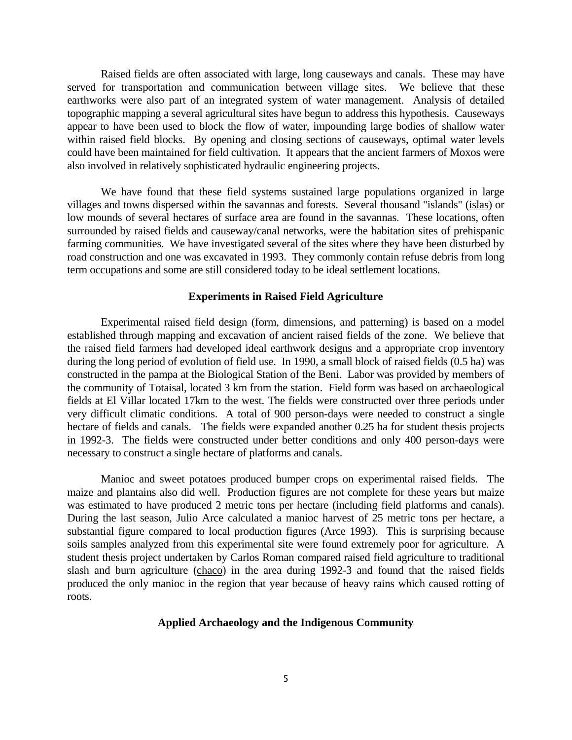Raised fields are often associated with large, long causeways and canals. These may have served for transportation and communication between village sites. We believe that these earthworks were also part of an integrated system of water management. Analysis of detailed topographic mapping a several agricultural sites have begun to address this hypothesis. Causeways appear to have been used to block the flow of water, impounding large bodies of shallow water within raised field blocks. By opening and closing sections of causeways, optimal water levels could have been maintained for field cultivation. It appears that the ancient farmers of Moxos were also involved in relatively sophisticated hydraulic engineering projects.

 We have found that these field systems sustained large populations organized in large villages and towns dispersed within the savannas and forests. Several thousand "islands" (islas) or low mounds of several hectares of surface area are found in the savannas. These locations, often surrounded by raised fields and causeway/canal networks, were the habitation sites of prehispanic farming communities. We have investigated several of the sites where they have been disturbed by road construction and one was excavated in 1993. They commonly contain refuse debris from long term occupations and some are still considered today to be ideal settlement locations.

#### **Experiments in Raised Field Agriculture**

 Experimental raised field design (form, dimensions, and patterning) is based on a model established through mapping and excavation of ancient raised fields of the zone. We believe that the raised field farmers had developed ideal earthwork designs and a appropriate crop inventory during the long period of evolution of field use. In 1990, a small block of raised fields (0.5 ha) was constructed in the pampa at the Biological Station of the Beni. Labor was provided by members of the community of Totaisal, located 3 km from the station. Field form was based on archaeological fields at El Villar located 17km to the west. The fields were constructed over three periods under very difficult climatic conditions. A total of 900 person-days were needed to construct a single hectare of fields and canals. The fields were expanded another 0.25 ha for student thesis projects in 1992-3. The fields were constructed under better conditions and only 400 person-days were necessary to construct a single hectare of platforms and canals.

 Manioc and sweet potatoes produced bumper crops on experimental raised fields. The maize and plantains also did well. Production figures are not complete for these years but maize was estimated to have produced 2 metric tons per hectare (including field platforms and canals). During the last season, Julio Arce calculated a manioc harvest of 25 metric tons per hectare, a substantial figure compared to local production figures (Arce 1993). This is surprising because soils samples analyzed from this experimental site were found extremely poor for agriculture. A student thesis project undertaken by Carlos Roman compared raised field agriculture to traditional slash and burn agriculture (chaco) in the area during 1992-3 and found that the raised fields produced the only manioc in the region that year because of heavy rains which caused rotting of roots.

#### **Applied Archaeology and the Indigenous Community**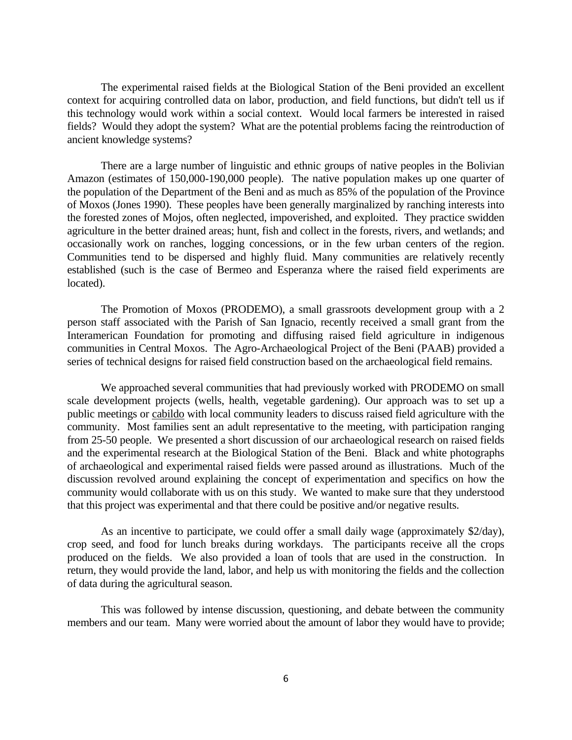The experimental raised fields at the Biological Station of the Beni provided an excellent context for acquiring controlled data on labor, production, and field functions, but didn't tell us if this technology would work within a social context. Would local farmers be interested in raised fields? Would they adopt the system? What are the potential problems facing the reintroduction of ancient knowledge systems?

 There are a large number of linguistic and ethnic groups of native peoples in the Bolivian Amazon (estimates of 150,000-190,000 people). The native population makes up one quarter of the population of the Department of the Beni and as much as 85% of the population of the Province of Moxos (Jones 1990). These peoples have been generally marginalized by ranching interests into the forested zones of Mojos, often neglected, impoverished, and exploited. They practice swidden agriculture in the better drained areas; hunt, fish and collect in the forests, rivers, and wetlands; and occasionally work on ranches, logging concessions, or in the few urban centers of the region. Communities tend to be dispersed and highly fluid. Many communities are relatively recently established (such is the case of Bermeo and Esperanza where the raised field experiments are located).

 The Promotion of Moxos (PRODEMO), a small grassroots development group with a 2 person staff associated with the Parish of San Ignacio, recently received a small grant from the Interamerican Foundation for promoting and diffusing raised field agriculture in indigenous communities in Central Moxos. The Agro-Archaeological Project of the Beni (PAAB) provided a series of technical designs for raised field construction based on the archaeological field remains.

 We approached several communities that had previously worked with PRODEMO on small scale development projects (wells, health, vegetable gardening). Our approach was to set up a public meetings or cabildo with local community leaders to discuss raised field agriculture with the community. Most families sent an adult representative to the meeting, with participation ranging from 25-50 people. We presented a short discussion of our archaeological research on raised fields and the experimental research at the Biological Station of the Beni. Black and white photographs of archaeological and experimental raised fields were passed around as illustrations. Much of the discussion revolved around explaining the concept of experimentation and specifics on how the community would collaborate with us on this study. We wanted to make sure that they understood that this project was experimental and that there could be positive and/or negative results.

 As an incentive to participate, we could offer a small daily wage (approximately \$2/day), crop seed, and food for lunch breaks during workdays. The participants receive all the crops produced on the fields. We also provided a loan of tools that are used in the construction. In return, they would provide the land, labor, and help us with monitoring the fields and the collection of data during the agricultural season.

 This was followed by intense discussion, questioning, and debate between the community members and our team. Many were worried about the amount of labor they would have to provide;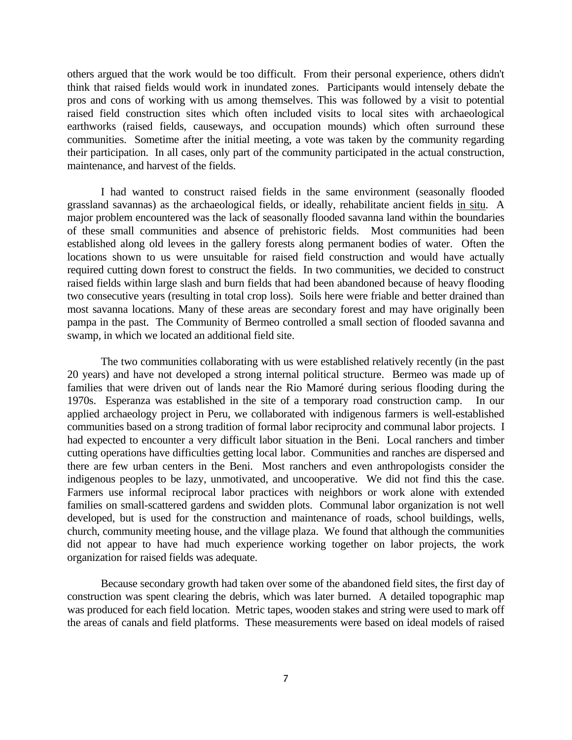others argued that the work would be too difficult. From their personal experience, others didn't think that raised fields would work in inundated zones. Participants would intensely debate the pros and cons of working with us among themselves. This was followed by a visit to potential raised field construction sites which often included visits to local sites with archaeological earthworks (raised fields, causeways, and occupation mounds) which often surround these communities. Sometime after the initial meeting, a vote was taken by the community regarding their participation. In all cases, only part of the community participated in the actual construction, maintenance, and harvest of the fields.

 I had wanted to construct raised fields in the same environment (seasonally flooded grassland savannas) as the archaeological fields, or ideally, rehabilitate ancient fields in situ. A major problem encountered was the lack of seasonally flooded savanna land within the boundaries of these small communities and absence of prehistoric fields. Most communities had been established along old levees in the gallery forests along permanent bodies of water. Often the locations shown to us were unsuitable for raised field construction and would have actually required cutting down forest to construct the fields. In two communities, we decided to construct raised fields within large slash and burn fields that had been abandoned because of heavy flooding two consecutive years (resulting in total crop loss). Soils here were friable and better drained than most savanna locations. Many of these areas are secondary forest and may have originally been pampa in the past. The Community of Bermeo controlled a small section of flooded savanna and swamp, in which we located an additional field site.

 The two communities collaborating with us were established relatively recently (in the past 20 years) and have not developed a strong internal political structure. Bermeo was made up of families that were driven out of lands near the Rio Mamoré during serious flooding during the 1970s. Esperanza was established in the site of a temporary road construction camp. In our applied archaeology project in Peru, we collaborated with indigenous farmers is well-established communities based on a strong tradition of formal labor reciprocity and communal labor projects. I had expected to encounter a very difficult labor situation in the Beni. Local ranchers and timber cutting operations have difficulties getting local labor. Communities and ranches are dispersed and there are few urban centers in the Beni. Most ranchers and even anthropologists consider the indigenous peoples to be lazy, unmotivated, and uncooperative. We did not find this the case. Farmers use informal reciprocal labor practices with neighbors or work alone with extended families on small-scattered gardens and swidden plots. Communal labor organization is not well developed, but is used for the construction and maintenance of roads, school buildings, wells, church, community meeting house, and the village plaza. We found that although the communities did not appear to have had much experience working together on labor projects, the work organization for raised fields was adequate.

 Because secondary growth had taken over some of the abandoned field sites, the first day of construction was spent clearing the debris, which was later burned. A detailed topographic map was produced for each field location. Metric tapes, wooden stakes and string were used to mark off the areas of canals and field platforms. These measurements were based on ideal models of raised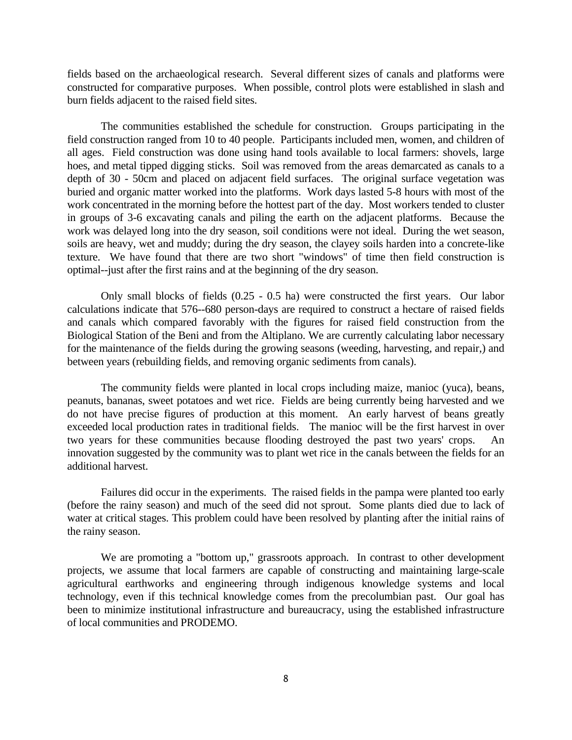fields based on the archaeological research. Several different sizes of canals and platforms were constructed for comparative purposes. When possible, control plots were established in slash and burn fields adjacent to the raised field sites.

 The communities established the schedule for construction. Groups participating in the field construction ranged from 10 to 40 people. Participants included men, women, and children of all ages. Field construction was done using hand tools available to local farmers: shovels, large hoes, and metal tipped digging sticks. Soil was removed from the areas demarcated as canals to a depth of 30 - 50cm and placed on adjacent field surfaces. The original surface vegetation was buried and organic matter worked into the platforms. Work days lasted 5-8 hours with most of the work concentrated in the morning before the hottest part of the day. Most workers tended to cluster in groups of 3-6 excavating canals and piling the earth on the adjacent platforms. Because the work was delayed long into the dry season, soil conditions were not ideal. During the wet season, soils are heavy, wet and muddy; during the dry season, the clayey soils harden into a concrete-like texture. We have found that there are two short "windows" of time then field construction is optimal--just after the first rains and at the beginning of the dry season.

 Only small blocks of fields (0.25 - 0.5 ha) were constructed the first years. Our labor calculations indicate that 576--680 person-days are required to construct a hectare of raised fields and canals which compared favorably with the figures for raised field construction from the Biological Station of the Beni and from the Altiplano. We are currently calculating labor necessary for the maintenance of the fields during the growing seasons (weeding, harvesting, and repair,) and between years (rebuilding fields, and removing organic sediments from canals).

 The community fields were planted in local crops including maize, manioc (yuca), beans, peanuts, bananas, sweet potatoes and wet rice. Fields are being currently being harvested and we do not have precise figures of production at this moment. An early harvest of beans greatly exceeded local production rates in traditional fields. The manioc will be the first harvest in over two years for these communities because flooding destroyed the past two years' crops. An innovation suggested by the community was to plant wet rice in the canals between the fields for an additional harvest.

 Failures did occur in the experiments. The raised fields in the pampa were planted too early (before the rainy season) and much of the seed did not sprout. Some plants died due to lack of water at critical stages. This problem could have been resolved by planting after the initial rains of the rainy season.

 We are promoting a "bottom up," grassroots approach. In contrast to other development projects, we assume that local farmers are capable of constructing and maintaining large-scale agricultural earthworks and engineering through indigenous knowledge systems and local technology, even if this technical knowledge comes from the precolumbian past. Our goal has been to minimize institutional infrastructure and bureaucracy, using the established infrastructure of local communities and PRODEMO.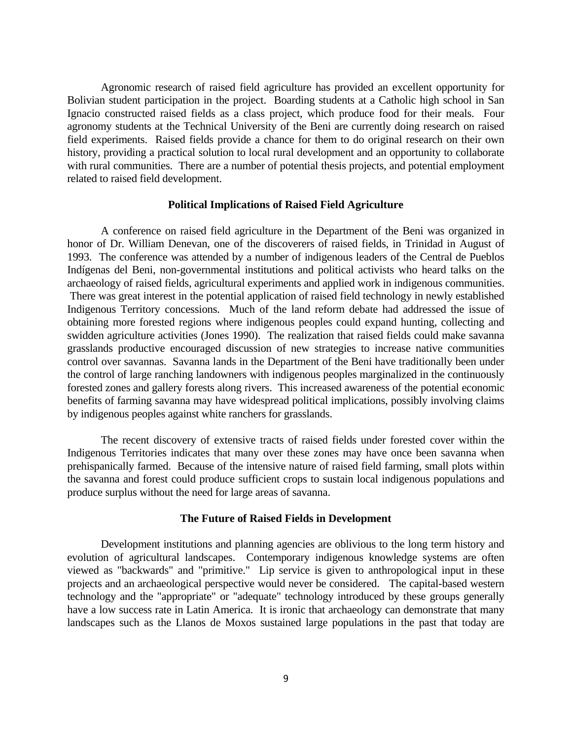Agronomic research of raised field agriculture has provided an excellent opportunity for Bolivian student participation in the project. Boarding students at a Catholic high school in San Ignacio constructed raised fields as a class project, which produce food for their meals. Four agronomy students at the Technical University of the Beni are currently doing research on raised field experiments. Raised fields provide a chance for them to do original research on their own history, providing a practical solution to local rural development and an opportunity to collaborate with rural communities. There are a number of potential thesis projects, and potential employment related to raised field development.

#### **Political Implications of Raised Field Agriculture**

 A conference on raised field agriculture in the Department of the Beni was organized in honor of Dr. William Denevan, one of the discoverers of raised fields, in Trinidad in August of 1993. The conference was attended by a number of indigenous leaders of the Central de Pueblos Indígenas del Beni, non-governmental institutions and political activists who heard talks on the archaeology of raised fields, agricultural experiments and applied work in indigenous communities. There was great interest in the potential application of raised field technology in newly established Indigenous Territory concessions. Much of the land reform debate had addressed the issue of obtaining more forested regions where indigenous peoples could expand hunting, collecting and swidden agriculture activities (Jones 1990). The realization that raised fields could make savanna grasslands productive encouraged discussion of new strategies to increase native communities control over savannas. Savanna lands in the Department of the Beni have traditionally been under the control of large ranching landowners with indigenous peoples marginalized in the continuously forested zones and gallery forests along rivers. This increased awareness of the potential economic benefits of farming savanna may have widespread political implications, possibly involving claims by indigenous peoples against white ranchers for grasslands.

 The recent discovery of extensive tracts of raised fields under forested cover within the Indigenous Territories indicates that many over these zones may have once been savanna when prehispanically farmed. Because of the intensive nature of raised field farming, small plots within the savanna and forest could produce sufficient crops to sustain local indigenous populations and produce surplus without the need for large areas of savanna.

#### **The Future of Raised Fields in Development**

 Development institutions and planning agencies are oblivious to the long term history and evolution of agricultural landscapes. Contemporary indigenous knowledge systems are often viewed as "backwards" and "primitive." Lip service is given to anthropological input in these projects and an archaeological perspective would never be considered. The capital-based western technology and the "appropriate" or "adequate" technology introduced by these groups generally have a low success rate in Latin America. It is ironic that archaeology can demonstrate that many landscapes such as the Llanos de Moxos sustained large populations in the past that today are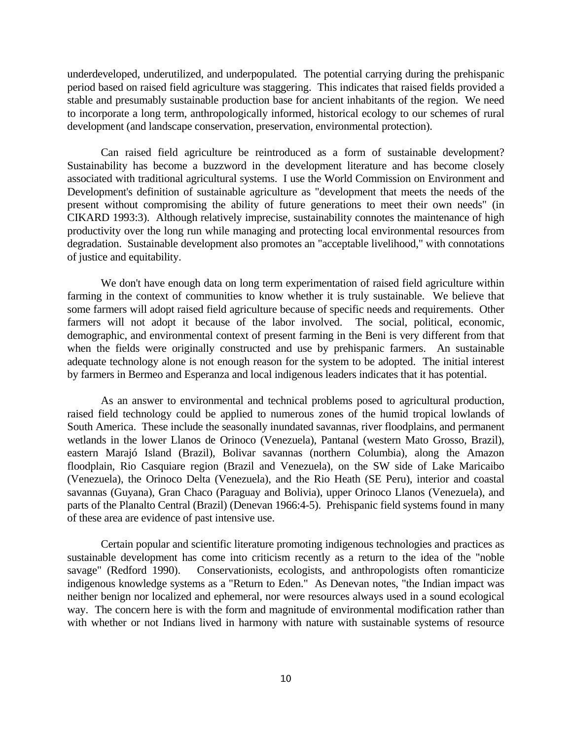underdeveloped, underutilized, and underpopulated. The potential carrying during the prehispanic period based on raised field agriculture was staggering. This indicates that raised fields provided a stable and presumably sustainable production base for ancient inhabitants of the region. We need to incorporate a long term, anthropologically informed, historical ecology to our schemes of rural development (and landscape conservation, preservation, environmental protection).

 Can raised field agriculture be reintroduced as a form of sustainable development? Sustainability has become a buzzword in the development literature and has become closely associated with traditional agricultural systems. I use the World Commission on Environment and Development's definition of sustainable agriculture as "development that meets the needs of the present without compromising the ability of future generations to meet their own needs" (in CIKARD 1993:3). Although relatively imprecise, sustainability connotes the maintenance of high productivity over the long run while managing and protecting local environmental resources from degradation. Sustainable development also promotes an "acceptable livelihood," with connotations of justice and equitability.

We don't have enough data on long term experimentation of raised field agriculture within farming in the context of communities to know whether it is truly sustainable. We believe that some farmers will adopt raised field agriculture because of specific needs and requirements. Other farmers will not adopt it because of the labor involved. The social, political, economic, demographic, and environmental context of present farming in the Beni is very different from that when the fields were originally constructed and use by prehispanic farmers. An sustainable adequate technology alone is not enough reason for the system to be adopted. The initial interest by farmers in Bermeo and Esperanza and local indigenous leaders indicates that it has potential.

 As an answer to environmental and technical problems posed to agricultural production, raised field technology could be applied to numerous zones of the humid tropical lowlands of South America. These include the seasonally inundated savannas, river floodplains, and permanent wetlands in the lower Llanos de Orinoco (Venezuela), Pantanal (western Mato Grosso, Brazil), eastern Marajó Island (Brazil), Bolivar savannas (northern Columbia), along the Amazon floodplain, Rio Casquiare region (Brazil and Venezuela), on the SW side of Lake Maricaibo (Venezuela), the Orinoco Delta (Venezuela), and the Rio Heath (SE Peru), interior and coastal savannas (Guyana), Gran Chaco (Paraguay and Bolivia), upper Orinoco Llanos (Venezuela), and parts of the Planalto Central (Brazil) (Denevan 1966:4-5). Prehispanic field systems found in many of these area are evidence of past intensive use.

 Certain popular and scientific literature promoting indigenous technologies and practices as sustainable development has come into criticism recently as a return to the idea of the "noble savage" (Redford 1990). Conservationists, ecologists, and anthropologists often romanticize indigenous knowledge systems as a "Return to Eden." As Denevan notes, "the Indian impact was neither benign nor localized and ephemeral, nor were resources always used in a sound ecological way. The concern here is with the form and magnitude of environmental modification rather than with whether or not Indians lived in harmony with nature with sustainable systems of resource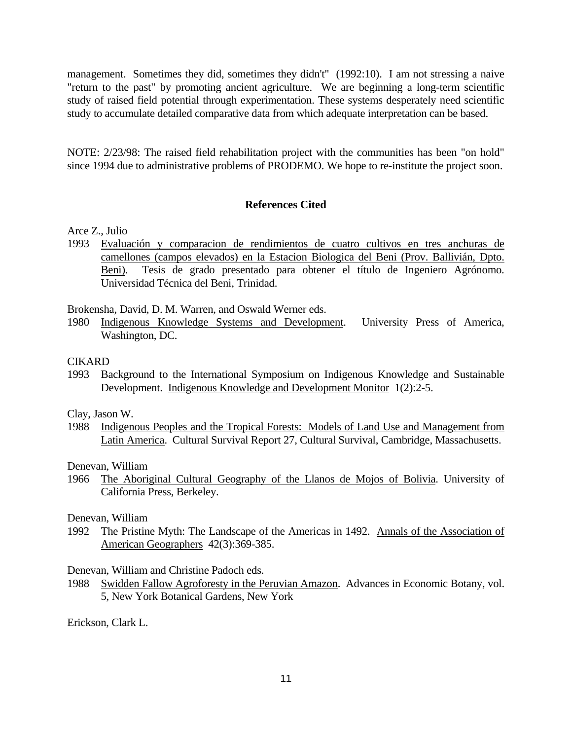management. Sometimes they did, sometimes they didn't" (1992:10). I am not stressing a naive "return to the past" by promoting ancient agriculture. We are beginning a long-term scientific study of raised field potential through experimentation. These systems desperately need scientific study to accumulate detailed comparative data from which adequate interpretation can be based.

NOTE: 2/23/98: The raised field rehabilitation project with the communities has been "on hold" since 1994 due to administrative problems of PRODEMO. We hope to re-institute the project soon.

#### **References Cited**

- Arce Z., Julio
- 1993 Evaluación y comparacion de rendimientos de cuatro cultivos en tres anchuras de camellones (campos elevados) en la Estacion Biologica del Beni (Prov. Ballivián, Dpto. Beni). Tesis de grado presentado para obtener el título de Ingeniero Agrónomo. Universidad Técnica del Beni, Trinidad.

Brokensha, David, D. M. Warren, and Oswald Werner eds.

1980 Indigenous Knowledge Systems and Development. University Press of America, Washington, DC.

# **CIKARD**

1993 Background to the International Symposium on Indigenous Knowledge and Sustainable Development. Indigenous Knowledge and Development Monitor 1(2):2-5.

Clay, Jason W.

1988 Indigenous Peoples and the Tropical Forests: Models of Land Use and Management from Latin America. Cultural Survival Report 27, Cultural Survival, Cambridge, Massachusetts.

Denevan, William

1966 The Aboriginal Cultural Geography of the Llanos de Mojos of Bolivia. University of California Press, Berkeley.

#### Denevan, William

1992 The Pristine Myth: The Landscape of the Americas in 1492. Annals of the Association of American Geographers 42(3):369-385.

Denevan, William and Christine Padoch eds.

1988 Swidden Fallow Agroforesty in the Peruvian Amazon. Advances in Economic Botany, vol. 5, New York Botanical Gardens, New York

Erickson, Clark L.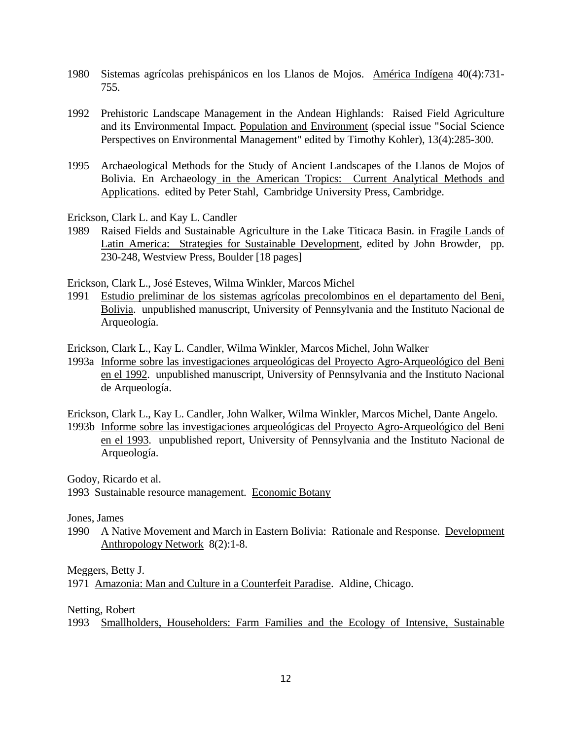- 1980 Sistemas agrícolas prehispánicos en los Llanos de Mojos. América Indígena 40(4):731- 755.
- 1992 Prehistoric Landscape Management in the Andean Highlands: Raised Field Agriculture and its Environmental Impact. Population and Environment (special issue "Social Science Perspectives on Environmental Management" edited by Timothy Kohler), 13(4):285-300.
- 1995 Archaeological Methods for the Study of Ancient Landscapes of the Llanos de Mojos of Bolivia. En Archaeology in the American Tropics: Current Analytical Methods and Applications. edited by Peter Stahl, Cambridge University Press, Cambridge.

Erickson, Clark L. and Kay L. Candler

1989 Raised Fields and Sustainable Agriculture in the Lake Titicaca Basin. in Fragile Lands of Latin America: Strategies for Sustainable Development, edited by John Browder, pp. 230-248, Westview Press, Boulder [18 pages]

Erickson, Clark L., José Esteves, Wilma Winkler, Marcos Michel

1991 Estudio preliminar de los sistemas agrícolas precolombinos en el departamento del Beni, Bolivia. unpublished manuscript, University of Pennsylvania and the Instituto Nacional de Arqueología.

Erickson, Clark L., Kay L. Candler, Wilma Winkler, Marcos Michel, John Walker

- 1993a Informe sobre las investigaciones arqueológicas del Proyecto Agro-Arqueológico del Beni en el 1992. unpublished manuscript, University of Pennsylvania and the Instituto Nacional de Arqueología.
- Erickson, Clark L., Kay L. Candler, John Walker, Wilma Winkler, Marcos Michel, Dante Angelo. 1993b Informe sobre las investigaciones arqueológicas del Proyecto Agro-Arqueológico del Beni en el 1993. unpublished report, University of Pennsylvania and the Instituto Nacional de Arqueología.

Godoy, Ricardo et al.

1993 Sustainable resource management. Economic Botany

Jones, James

1990 A Native Movement and March in Eastern Bolivia: Rationale and Response. Development Anthropology Network 8(2):1-8.

Meggers, Betty J.

1971 Amazonia: Man and Culture in a Counterfeit Paradise. Aldine, Chicago.

Netting, Robert

1993 Smallholders, Householders: Farm Families and the Ecology of Intensive, Sustainable